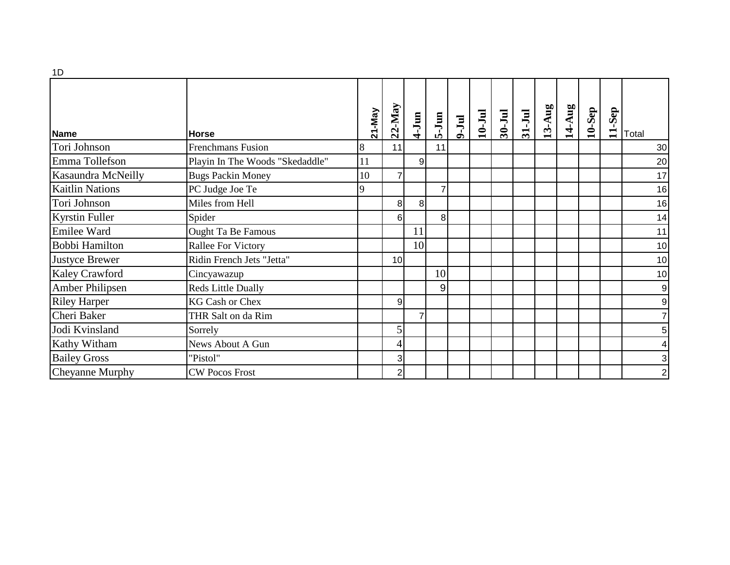| --                     |                                 |               |                 |                 |                |       |            |        |          |          |        |          |        |       |
|------------------------|---------------------------------|---------------|-----------------|-----------------|----------------|-------|------------|--------|----------|----------|--------|----------|--------|-------|
| <b>Name</b>            | <b>Horse</b>                    | <b>Z1-May</b> | $22$ -May       | $4-Jun$         | 5-Jun          | 9-Jul | $10 - Ju1$ | 30-Jul | $31-Jul$ | $13-Aug$ | 14-Aug | $10-Sep$ | 11-Sep | Total |
| Tori Johnson           | <b>Frenchmans Fusion</b>        | 8             | 11              |                 | 11             |       |            |        |          |          |        |          |        | 30    |
| Emma Tollefson         | Playin In The Woods "Skedaddle" | 11            |                 | 9               |                |       |            |        |          |          |        |          |        | 20    |
| Kasaundra McNeilly     | <b>Bugs Packin Money</b>        | 10            | $\overline{7}$  |                 |                |       |            |        |          |          |        |          |        | 17    |
| <b>Kaitlin Nations</b> | PC Judge Joe Te                 | 9             |                 |                 |                |       |            |        |          |          |        |          |        | 16    |
| Tori Johnson           | Miles from Hell                 |               | 8 <sup>1</sup>  | 8               |                |       |            |        |          |          |        |          |        | 16    |
| <b>Kyrstin Fuller</b>  | Spider                          |               | 61              |                 | 8 <sup>1</sup> |       |            |        |          |          |        |          |        | 14    |
| Emilee Ward            | <b>Ought Ta Be Famous</b>       |               |                 | 11              |                |       |            |        |          |          |        |          |        | 11    |
| Bobbi Hamilton         | <b>Rallee For Victory</b>       |               |                 | 10 <sup>1</sup> |                |       |            |        |          |          |        |          |        | 10    |
| <b>Justyce Brewer</b>  | Ridin French Jets "Jetta"       |               | 10 <sup>1</sup> |                 |                |       |            |        |          |          |        |          |        | 10    |
| Kaley Crawford         | Cincyawazup                     |               |                 |                 | 10             |       |            |        |          |          |        |          |        | 10    |
| Amber Philipsen        | <b>Reds Little Dually</b>       |               |                 |                 | 9              |       |            |        |          |          |        |          |        |       |
| <b>Riley Harper</b>    | <b>KG Cash or Chex</b>          |               | 9               |                 |                |       |            |        |          |          |        |          |        |       |
| Cheri Baker            | THR Salt on da Rim              |               |                 | 7               |                |       |            |        |          |          |        |          |        |       |
| Jodi Kvinsland         | Sorrely                         |               | 5               |                 |                |       |            |        |          |          |        |          |        |       |
| Kathy Witham           | News About A Gun                |               | $\overline{4}$  |                 |                |       |            |        |          |          |        |          |        |       |
| <b>Bailey Gross</b>    | "Pistol"                        |               | 3               |                 |                |       |            |        |          |          |        |          |        |       |
| Cheyanne Murphy        | <b>CW Pocos Frost</b>           |               | $\mathbf{2}$    |                 |                |       |            |        |          |          |        |          |        |       |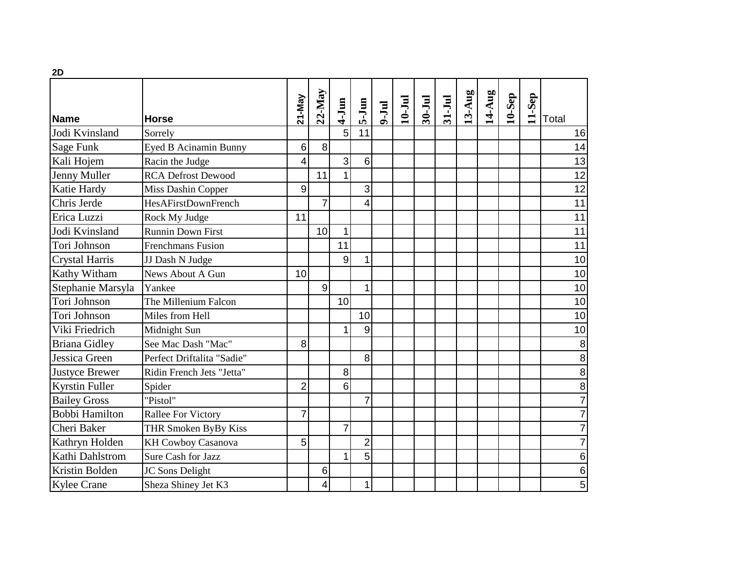| 2D                    |                              |                |                |                |                 |             |            |            |          |        |        |           |        |                 |
|-----------------------|------------------------------|----------------|----------------|----------------|-----------------|-------------|------------|------------|----------|--------|--------|-----------|--------|-----------------|
| Name                  | <b>Horse</b>                 | 21-May         | $22$ -May      | $4-Jun$        | $5-J$ un        | <b>mr-6</b> | $10 - Ju1$ | $30 - Ju1$ | $31-Jul$ | 13-Aug | 14-Aug | $10-$ Sep | 11-Sep | Total           |
| Jodi Kvinsland        | Sorrely                      |                |                | 5              | 11              |             |            |            |          |        |        |           |        | 16              |
| <b>Sage Funk</b>      | <b>Eyed B Acinamin Bunny</b> | 6              | 8              |                |                 |             |            |            |          |        |        |           |        | 14              |
| Kali Hojem            | Racin the Judge              | $\overline{4}$ |                | 3              | $6\phantom{1}6$ |             |            |            |          |        |        |           |        | $\overline{13}$ |
| Jenny Muller          | <b>RCA Defrost Dewood</b>    |                | 11             |                |                 |             |            |            |          |        |        |           |        | 12              |
| Katie Hardy           | Miss Dashin Copper           | 9              |                |                | 3               |             |            |            |          |        |        |           |        | 12              |
| Chris Jerde           | <b>HesAFirstDownFrench</b>   |                | $\overline{7}$ |                | 4               |             |            |            |          |        |        |           |        | 11              |
| Erica Luzzi           | Rock My Judge                | 11             |                |                |                 |             |            |            |          |        |        |           |        | 11              |
| Jodi Kvinsland        | <b>Runnin Down First</b>     |                | 10             | 1              |                 |             |            |            |          |        |        |           |        | 11              |
| Tori Johnson          | <b>Frenchmans Fusion</b>     |                |                | 11             |                 |             |            |            |          |        |        |           |        | 11              |
| <b>Crystal Harris</b> | JJ Dash N Judge              |                |                | 9              | 1               |             |            |            |          |        |        |           |        | 10              |
| <b>Kathy Witham</b>   | News About A Gun             | 10             |                |                |                 |             |            |            |          |        |        |           |        | 10              |
| Stephanie Marsyla     | Yankee                       |                | $\overline{9}$ |                | 1               |             |            |            |          |        |        |           |        | 10              |
| Tori Johnson          | The Millenium Falcon         |                |                | 10             |                 |             |            |            |          |        |        |           |        | 10              |
| Tori Johnson          | Miles from Hell              |                |                |                | 10              |             |            |            |          |        |        |           |        | 10              |
| Viki Friedrich        | Midnight Sun                 |                |                |                | 9               |             |            |            |          |        |        |           |        | 10              |
| <b>Briana Gidley</b>  | See Mac Dash "Mac"           | 8              |                |                |                 |             |            |            |          |        |        |           |        | 8               |
| Jessica Green         | Perfect Driftalita "Sadie"   |                |                |                | 8               |             |            |            |          |        |        |           |        | $\, 8$          |
| <b>Justyce Brewer</b> | Ridin French Jets "Jetta"    |                |                | 8              |                 |             |            |            |          |        |        |           |        | 8               |
| <b>Kyrstin Fuller</b> | Spider                       | $\overline{2}$ |                | 6              |                 |             |            |            |          |        |        |           |        | 8               |
| <b>Bailey Gross</b>   | "Pistol"                     |                |                |                | $\overline{7}$  |             |            |            |          |        |        |           |        |                 |
| <b>Bobbi Hamilton</b> | <b>Rallee For Victory</b>    | $\overline{7}$ |                |                |                 |             |            |            |          |        |        |           |        |                 |
| Cheri Baker           | THR Smoken ByBy Kiss         |                |                | $\overline{7}$ |                 |             |            |            |          |        |        |           |        |                 |
| Kathryn Holden        | <b>KH Cowboy Casanova</b>    | 5              |                |                | $\overline{2}$  |             |            |            |          |        |        |           |        |                 |
| Kathi Dahlstrom       | Sure Cash for Jazz           |                |                | 1              | 5               |             |            |            |          |        |        |           |        | $\,6$           |
| Kristin Bolden        | JC Sons Delight              |                | 6              |                |                 |             |            |            |          |        |        |           |        | $\,6$           |
| <b>Kylee Crane</b>    | Sheza Shiney Jet K3          |                | 4              |                | 1               |             |            |            |          |        |        |           |        | 5               |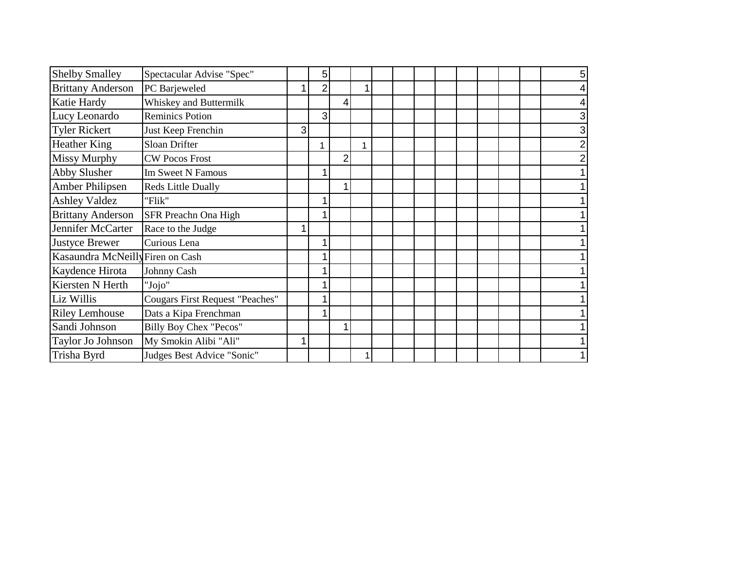| <b>Shelby Smalley</b>            | Spectacular Advise "Spec"              |   | 5 |   |   |  |  |  |  |  |
|----------------------------------|----------------------------------------|---|---|---|---|--|--|--|--|--|
| <b>Brittany Anderson</b>         | PC Barjeweled                          |   | 2 |   |   |  |  |  |  |  |
| Katie Hardy                      | Whiskey and Buttermilk                 |   |   | 4 |   |  |  |  |  |  |
| Lucy Leonardo                    | <b>Reminics Potion</b>                 |   | 3 |   |   |  |  |  |  |  |
| Tyler Rickert                    | Just Keep Frenchin                     | 3 |   |   |   |  |  |  |  |  |
| <b>Heather King</b>              | Sloan Drifter                          |   |   |   | 1 |  |  |  |  |  |
| <b>Missy Murphy</b>              | <b>CW Pocos Frost</b>                  |   |   |   |   |  |  |  |  |  |
| Abby Slusher                     | <b>Im Sweet N Famous</b>               |   |   |   |   |  |  |  |  |  |
| Amber Philipsen                  | <b>Reds Little Dually</b>              |   |   |   |   |  |  |  |  |  |
| <b>Ashley Valdez</b>             | "Flik"                                 |   |   |   |   |  |  |  |  |  |
| <b>Brittany Anderson</b>         | SFR Preachn Ona High                   |   |   |   |   |  |  |  |  |  |
| Jennifer McCarter                | Race to the Judge                      |   |   |   |   |  |  |  |  |  |
| <b>Justyce Brewer</b>            | Curious Lena                           |   |   |   |   |  |  |  |  |  |
| Kasaundra McNeilly Firen on Cash |                                        |   |   |   |   |  |  |  |  |  |
| Kaydence Hirota                  | Johnny Cash                            |   |   |   |   |  |  |  |  |  |
| Kiersten N Herth                 | "Jojo"                                 |   |   |   |   |  |  |  |  |  |
| Liz Willis                       | <b>Cougars First Request "Peaches"</b> |   |   |   |   |  |  |  |  |  |
| <b>Riley Lemhouse</b>            | Dats a Kipa Frenchman                  |   |   |   |   |  |  |  |  |  |
| Sandi Johnson                    | Billy Boy Chex "Pecos"                 |   |   |   |   |  |  |  |  |  |
| Taylor Jo Johnson                | My Smokin Alibi "Ali"                  |   |   |   |   |  |  |  |  |  |
| Trisha Byrd                      | Judges Best Advice "Sonic"             |   |   |   |   |  |  |  |  |  |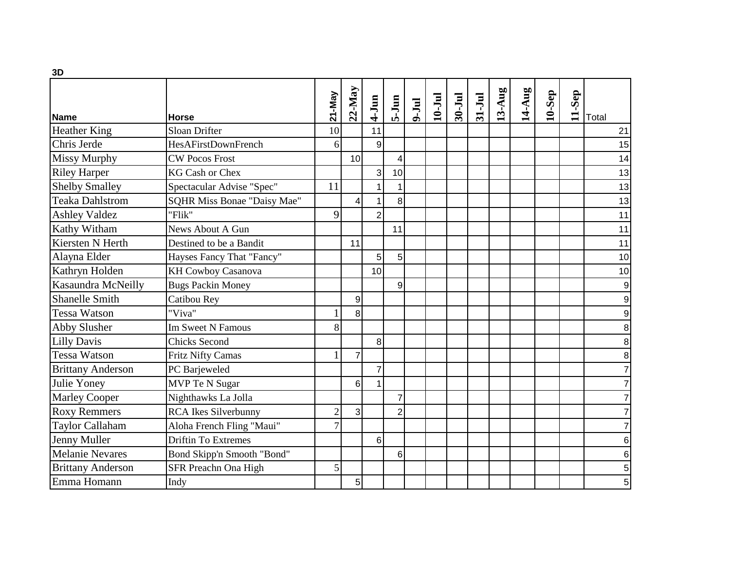| 3D                       |                             |                |                  |                 |                |           |            |           |        |        |        |           |        |                |
|--------------------------|-----------------------------|----------------|------------------|-----------------|----------------|-----------|------------|-----------|--------|--------|--------|-----------|--------|----------------|
| Name                     | <b>Horse</b>                | 21-May         | $22$ -May        | $4-J$ un        | $5-Jun$        | $9 - Jul$ | $10 -$ Jul | $30 - Ju$ | 31-Jul | 13-Aug | 14-Aug | $10-$ Sep | 11-Sep | Total          |
| <b>Heather King</b>      | Sloan Drifter               | 10             |                  | 11              |                |           |            |           |        |        |        |           |        | 21             |
| Chris Jerde              | HesAFirstDownFrench         | 6              |                  | $\overline{9}$  |                |           |            |           |        |        |        |           |        | 15             |
| <b>Missy Murphy</b>      | <b>CW Pocos Frost</b>       |                | 10               |                 | 4              |           |            |           |        |        |        |           |        | 14             |
| <b>Riley Harper</b>      | <b>KG Cash or Chex</b>      |                |                  | 3               | 10             |           |            |           |        |        |        |           |        | 13             |
| <b>Shelby Smalley</b>    | Spectacular Advise "Spec"   | 11             |                  | 1'              |                |           |            |           |        |        |        |           |        | 13             |
| <b>Teaka Dahlstrom</b>   | SQHR Miss Bonae "Daisy Mae" |                | $\overline{4}$   | $\mathbf{1}$    | 8              |           |            |           |        |        |        |           |        | 13             |
| <b>Ashley Valdez</b>     | "Flik"                      | 9              |                  | $\overline{2}$  |                |           |            |           |        |        |        |           |        | 11             |
| Kathy Witham             | News About A Gun            |                |                  |                 | 11             |           |            |           |        |        |        |           |        | 11             |
| Kiersten N Herth         | Destined to be a Bandit     |                | 11               |                 |                |           |            |           |        |        |        |           |        | 11             |
| Alayna Elder             | Hayses Fancy That "Fancy"   |                |                  | 5               | 5 <sup>1</sup> |           |            |           |        |        |        |           |        | 10             |
| Kathryn Holden           | <b>KH Cowboy Casanova</b>   |                |                  | 10 <sup>1</sup> |                |           |            |           |        |        |        |           |        | 10             |
| Kasaundra McNeilly       | <b>Bugs Packin Money</b>    |                |                  |                 | 9              |           |            |           |        |        |        |           |        | 9              |
| <b>Shanelle Smith</b>    | Catibou Rey                 |                | $\boldsymbol{9}$ |                 |                |           |            |           |        |        |        |           |        | 9              |
| <b>Tessa Watson</b>      | "Viva"                      |                | 8                |                 |                |           |            |           |        |        |        |           |        | 9              |
| <b>Abby Slusher</b>      | <b>Im Sweet N Famous</b>    | 8              |                  |                 |                |           |            |           |        |        |        |           |        | 8              |
| <b>Lilly Davis</b>       | <b>Chicks Second</b>        |                |                  | 8               |                |           |            |           |        |        |        |           |        | 8              |
| <b>Tessa Watson</b>      | <b>Fritz Nifty Camas</b>    |                | $\overline{7}$   |                 |                |           |            |           |        |        |        |           |        | 8              |
| <b>Brittany Anderson</b> | PC Barjeweled               |                |                  | $\overline{7}$  |                |           |            |           |        |        |        |           |        | $\overline{7}$ |
| Julie Yoney              | MVP Te N Sugar              |                | 6                | 1 <sup>1</sup>  |                |           |            |           |        |        |        |           |        | 7              |
| <b>Marley Cooper</b>     | Nighthawks La Jolla         |                |                  |                 | $\overline{7}$ |           |            |           |        |        |        |           |        | 7              |
| <b>Roxy Remmers</b>      | <b>RCA</b> Ikes Silverbunny | $\overline{c}$ | 3                |                 | $\overline{c}$ |           |            |           |        |        |        |           |        | $\overline{7}$ |
| <b>Taylor Callaham</b>   | Aloha French Fling "Maui"   | $\overline{7}$ |                  |                 |                |           |            |           |        |        |        |           |        | 7              |
| Jenny Muller             | <b>Driftin To Extremes</b>  |                |                  | 6               |                |           |            |           |        |        |        |           |        | 6              |
| Melanie Nevares          | Bond Skipp'n Smooth "Bond"  |                |                  |                 | 6              |           |            |           |        |        |        |           |        | 6              |
| <b>Brittany Anderson</b> | SFR Preachn Ona High        | 5              |                  |                 |                |           |            |           |        |        |        |           |        | 5              |
| Emma Homann              | Indy                        |                | 5                |                 |                |           |            |           |        |        |        |           |        | 5              |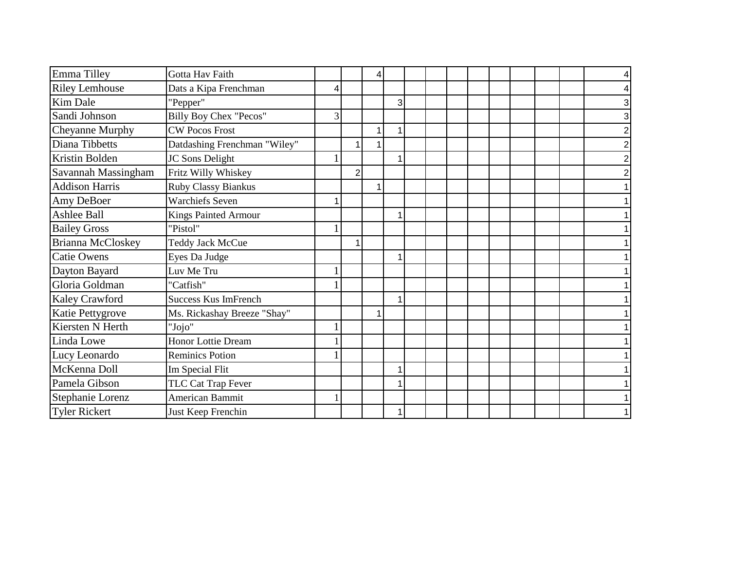| Emma Tilley           | Gotta Hav Faith               |   |                |   |   |  |  |  |  |  |
|-----------------------|-------------------------------|---|----------------|---|---|--|--|--|--|--|
| <b>Riley Lemhouse</b> | Dats a Kipa Frenchman         | 4 |                |   |   |  |  |  |  |  |
| Kim Dale              | "Pepper"                      |   |                |   | 3 |  |  |  |  |  |
| Sandi Johnson         | <b>Billy Boy Chex "Pecos"</b> | 3 |                |   |   |  |  |  |  |  |
| Cheyanne Murphy       | <b>CW Pocos Frost</b>         |   |                | 1 |   |  |  |  |  |  |
| Diana Tibbetts        | Datdashing Frenchman "Wiley"  |   |                | 1 |   |  |  |  |  |  |
| Kristin Bolden        | JC Sons Delight               |   |                |   |   |  |  |  |  |  |
| Savannah Massingham   | Fritz Willy Whiskey           |   | $\overline{2}$ |   |   |  |  |  |  |  |
| <b>Addison Harris</b> | Ruby Classy Biankus           |   |                | 1 |   |  |  |  |  |  |
| Amy DeBoer            | <b>Warchiefs Seven</b>        |   |                |   |   |  |  |  |  |  |
| Ashlee Ball           | Kings Painted Armour          |   |                |   |   |  |  |  |  |  |
| <b>Bailey Gross</b>   | "Pistol"                      |   |                |   |   |  |  |  |  |  |
| Brianna McCloskey     | <b>Teddy Jack McCue</b>       |   |                |   |   |  |  |  |  |  |
| <b>Catie Owens</b>    | Eyes Da Judge                 |   |                |   |   |  |  |  |  |  |
| Dayton Bayard         | Luv Me Tru                    |   |                |   |   |  |  |  |  |  |
| Gloria Goldman        | "Catfish"                     |   |                |   |   |  |  |  |  |  |
| Kaley Crawford        | <b>Success Kus ImFrench</b>   |   |                |   |   |  |  |  |  |  |
| Katie Pettygrove      | Ms. Rickashay Breeze "Shay"   |   |                | 1 |   |  |  |  |  |  |
| Kiersten N Herth      | "Jojo"                        |   |                |   |   |  |  |  |  |  |
| Linda Lowe            | <b>Honor Lottie Dream</b>     |   |                |   |   |  |  |  |  |  |
| Lucy Leonardo         | <b>Reminics Potion</b>        |   |                |   |   |  |  |  |  |  |
| McKenna Doll          | Im Special Flit               |   |                |   |   |  |  |  |  |  |
| Pamela Gibson         | TLC Cat Trap Fever            |   |                |   |   |  |  |  |  |  |
| Stephanie Lorenz      | American Bammit               |   |                |   |   |  |  |  |  |  |
| <b>Tyler Rickert</b>  | Just Keep Frenchin            |   |                |   |   |  |  |  |  |  |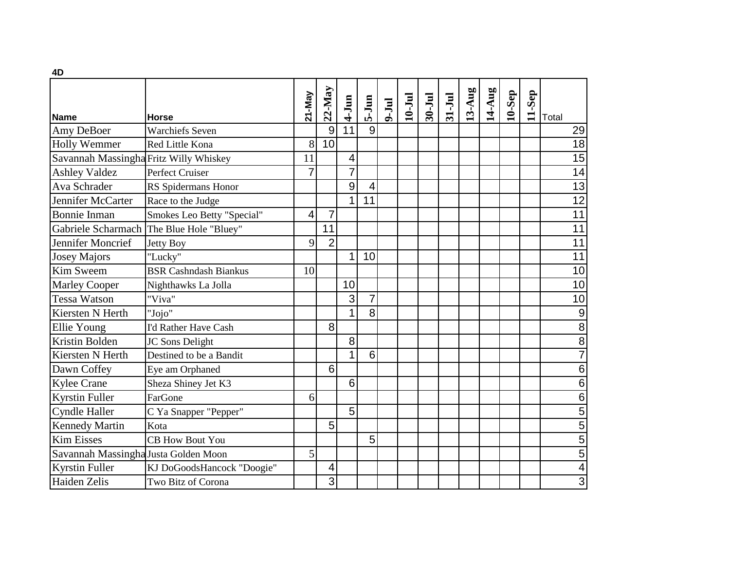| 4D                                     |                                          |                |                |                         |                |               |            |        |        |        |        |           |        |                         |
|----------------------------------------|------------------------------------------|----------------|----------------|-------------------------|----------------|---------------|------------|--------|--------|--------|--------|-----------|--------|-------------------------|
| <b>Name</b>                            | Horse                                    | 21-May         | $22$ -May      | $4-Jum$                 | $5-Jum$        | <b>Jul</b> -9 | $10 -$ Jul | 30-Jul | 31-Jul | 13-Aug | 14-Aug | $10-$ Sep | 11-Sep | Total                   |
| Amy DeBoer                             | <b>Warchiefs Seven</b>                   |                | 9              | 11                      | 9              |               |            |        |        |        |        |           |        | 29                      |
| <b>Holly Wemmer</b>                    | Red Little Kona                          | 8              | 10             |                         |                |               |            |        |        |        |        |           |        | 18                      |
| Savannah Massingha Fritz Willy Whiskey |                                          | 11             |                | $\overline{\mathbf{4}}$ |                |               |            |        |        |        |        |           |        | 15                      |
| <b>Ashley Valdez</b>                   | Perfect Cruiser                          | $\overline{7}$ |                | 7                       |                |               |            |        |        |        |        |           |        | $\overline{14}$         |
| Ava Schrader                           | RS Spidermans Honor                      |                |                | 9                       | 4              |               |            |        |        |        |        |           |        | 13                      |
| Jennifer McCarter                      | Race to the Judge                        |                |                | 1                       | 11             |               |            |        |        |        |        |           |        | $\overline{12}$         |
| <b>Bonnie Inman</b>                    | Smokes Leo Betty "Special"               | 4              | 7              |                         |                |               |            |        |        |        |        |           |        | $\overline{11}$         |
|                                        | Gabriele Scharmach The Blue Hole "Bluey" |                | 11             |                         |                |               |            |        |        |        |        |           |        | 11                      |
| Jennifer Moncrief                      | <b>Jetty Boy</b>                         | 9              | $\overline{2}$ |                         |                |               |            |        |        |        |        |           |        | 11                      |
| <b>Josey Majors</b>                    | "Lucky"                                  |                |                | 1                       | 10             |               |            |        |        |        |        |           |        | $\overline{11}$         |
| Kim Sweem                              | <b>BSR Cashndash Biankus</b>             | 10             |                |                         |                |               |            |        |        |        |        |           |        | 10                      |
| <b>Marley Cooper</b>                   | Nighthawks La Jolla                      |                |                | 10                      |                |               |            |        |        |        |        |           |        | 10                      |
| <b>Tessa Watson</b>                    | "Viva"                                   |                |                | 3                       | $\overline{7}$ |               |            |        |        |        |        |           |        | 10                      |
| Kiersten N Herth                       | "Jojo"                                   |                |                | 1                       | 8              |               |            |        |        |        |        |           |        | $\overline{9}$          |
| Ellie Young                            | I'd Rather Have Cash                     |                | 8 <sup>1</sup> |                         |                |               |            |        |        |        |        |           |        | $\overline{8}$          |
| Kristin Bolden                         | JC Sons Delight                          |                |                | 8                       |                |               |            |        |        |        |        |           |        | 8                       |
| Kiersten N Herth                       | Destined to be a Bandit                  |                |                |                         | 6              |               |            |        |        |        |        |           |        | $\overline{7}$          |
| Dawn Coffey                            | Eye am Orphaned                          |                | 6              |                         |                |               |            |        |        |        |        |           |        | 6                       |
| <b>Kylee Crane</b>                     | Sheza Shiney Jet K3                      |                |                | 6                       |                |               |            |        |        |        |        |           |        | 6                       |
| <b>Kyrstin Fuller</b>                  | FarGone                                  | 6              |                |                         |                |               |            |        |        |        |        |           |        | $\,6$                   |
| <b>Cyndle Haller</b>                   | C Ya Snapper "Pepper"                    |                |                | 5                       |                |               |            |        |        |        |        |           |        | $\overline{5}$          |
| <b>Kennedy Martin</b>                  | Kota                                     |                | 5              |                         |                |               |            |        |        |        |        |           |        | $\overline{5}$          |
| <b>Kim Eisses</b>                      | <b>CB How Bout You</b>                   |                |                |                         | 5              |               |            |        |        |        |        |           |        | $\overline{5}$          |
| Savannah Massingha Justa Golden Moon   |                                          | 5              |                |                         |                |               |            |        |        |        |        |           |        | $\overline{5}$          |
| <b>Kyrstin Fuller</b>                  | KJ DoGoodsHancock "Doogie"               |                | 4              |                         |                |               |            |        |        |        |        |           |        | $\overline{\mathbf{4}}$ |
| Haiden Zelis                           | Two Bitz of Corona                       |                | $\overline{3}$ |                         |                |               |            |        |        |        |        |           |        | $\overline{3}$          |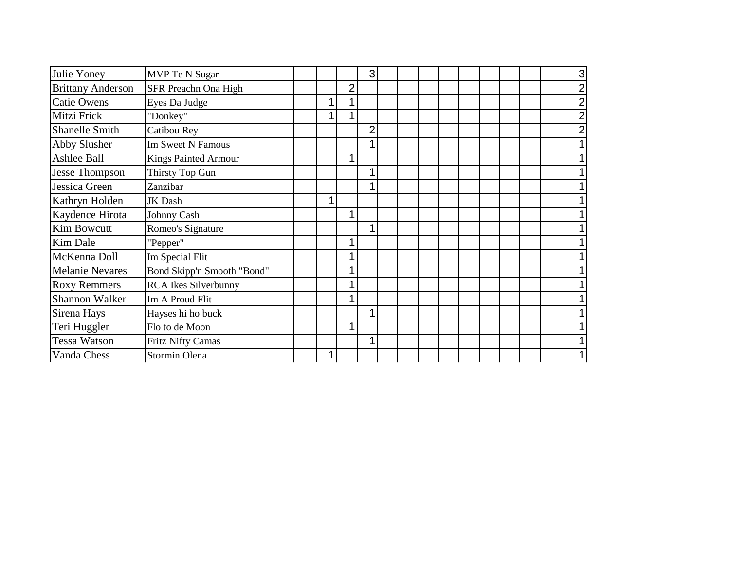| Julie Yoney              | MVP Te N Sugar              |  |                | 3              |  |  |  |  |  |
|--------------------------|-----------------------------|--|----------------|----------------|--|--|--|--|--|
| <b>Brittany Anderson</b> | SFR Preachn Ona High        |  | $\overline{2}$ |                |  |  |  |  |  |
| <b>Catie Owens</b>       | Eyes Da Judge               |  |                |                |  |  |  |  |  |
| Mitzi Frick              | "Donkey"                    |  |                |                |  |  |  |  |  |
| <b>Shanelle Smith</b>    | Catibou Rey                 |  |                | $\overline{2}$ |  |  |  |  |  |
| Abby Slusher             | Im Sweet N Famous           |  |                |                |  |  |  |  |  |
| <b>Ashlee Ball</b>       | <b>Kings Painted Armour</b> |  |                |                |  |  |  |  |  |
| <b>Jesse Thompson</b>    | Thirsty Top Gun             |  |                | 1              |  |  |  |  |  |
| Jessica Green            | Zanzibar                    |  |                |                |  |  |  |  |  |
| Kathryn Holden           | JK Dash                     |  |                |                |  |  |  |  |  |
| Kaydence Hirota          | Johnny Cash                 |  |                |                |  |  |  |  |  |
| Kim Bowcutt              | Romeo's Signature           |  |                |                |  |  |  |  |  |
| <b>Kim Dale</b>          | "Pepper"                    |  |                |                |  |  |  |  |  |
| McKenna Doll             | Im Special Flit             |  |                |                |  |  |  |  |  |
| <b>Melanie Nevares</b>   | Bond Skipp'n Smooth "Bond"  |  |                |                |  |  |  |  |  |
| <b>Roxy Remmers</b>      | <b>RCA</b> Ikes Silverbunny |  |                |                |  |  |  |  |  |
| <b>Shannon Walker</b>    | Im A Proud Flit             |  |                |                |  |  |  |  |  |
| Sirena Hays              | Hayses hi ho buck           |  |                | 1              |  |  |  |  |  |
| Teri Huggler             | Flo to de Moon              |  |                |                |  |  |  |  |  |
| Tessa Watson             | <b>Fritz Nifty Camas</b>    |  |                |                |  |  |  |  |  |
| Vanda Chess              | Stormin Olena               |  |                |                |  |  |  |  |  |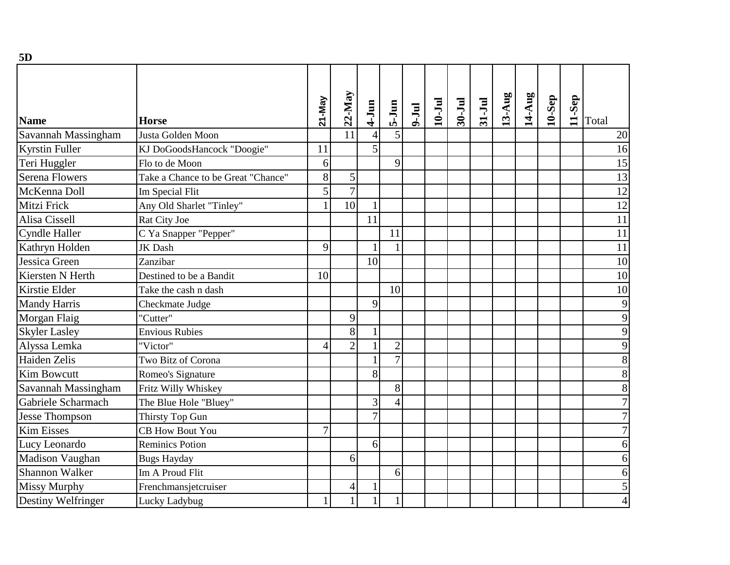| 5D                    |                                    |                |                |                |                |         |            |        |          |        |        |           |        |                  |
|-----------------------|------------------------------------|----------------|----------------|----------------|----------------|---------|------------|--------|----------|--------|--------|-----------|--------|------------------|
| Name                  | <b>Horse</b>                       | 21-May         | $22$ -May      | $4-Jun$        | $5-Jun$        | $ln1-6$ | $10 - Ju1$ | 30-Jul | $31-Jul$ | 13-Aug | 14-Aug | $10-$ Sep | 11-Sep | Total            |
| Savannah Massingham   | Justa Golden Moon                  |                | 11             | $\overline{4}$ | 5              |         |            |        |          |        |        |           |        | 20               |
| <b>Kyrstin Fuller</b> | KJ DoGoodsHancock "Doogie"         | 11             |                | 5              |                |         |            |        |          |        |        |           |        | 16               |
| Teri Huggler          | Flo to de Moon                     | 6              |                |                | 9              |         |            |        |          |        |        |           |        | 15               |
| <b>Serena Flowers</b> | Take a Chance to be Great "Chance" | 8              | $\mathfrak{S}$ |                |                |         |            |        |          |        |        |           |        | 13               |
| McKenna Doll          | Im Special Flit                    | 5              | $\overline{7}$ |                |                |         |            |        |          |        |        |           |        | 12               |
| Mitzi Frick           | Any Old Sharlet "Tinley"           |                | 10             |                |                |         |            |        |          |        |        |           |        | $\overline{12}$  |
| Alisa Cissell         | Rat City Joe                       |                |                | 11             |                |         |            |        |          |        |        |           |        | 11               |
| <b>Cyndle Haller</b>  | C Ya Snapper "Pepper"              |                |                |                | 11             |         |            |        |          |        |        |           |        | 11               |
| Kathryn Holden        | <b>JK</b> Dash                     | 9              |                |                |                |         |            |        |          |        |        |           |        | $\overline{11}$  |
| Jessica Green         | Zanzibar                           |                |                | 10             |                |         |            |        |          |        |        |           |        | 10               |
| Kiersten N Herth      | Destined to be a Bandit            | 10             |                |                |                |         |            |        |          |        |        |           |        | 10               |
| Kirstie Elder         | Take the cash n dash               |                |                |                | 10             |         |            |        |          |        |        |           |        | 10               |
| <b>Mandy Harris</b>   | Checkmate Judge                    |                |                | 9              |                |         |            |        |          |        |        |           |        | 9                |
| Morgan Flaig          | "Cutter"                           |                | 9              |                |                |         |            |        |          |        |        |           |        | 9                |
| <b>Skyler Lasley</b>  | <b>Envious Rubies</b>              |                | 8              |                |                |         |            |        |          |        |        |           |        | 9                |
| Alyssa Lemka          | "Victor"                           | 4              | $\overline{2}$ |                | $\overline{2}$ |         |            |        |          |        |        |           |        | 9                |
| Haiden Zelis          | Two Bitz of Corona                 |                |                |                | $\overline{7}$ |         |            |        |          |        |        |           |        | 8                |
| <b>Kim Bowcutt</b>    | Romeo's Signature                  |                |                | 8              |                |         |            |        |          |        |        |           |        | 8                |
| Savannah Massingham   | Fritz Willy Whiskey                |                |                |                | 8              |         |            |        |          |        |        |           |        | 8                |
| Gabriele Scharmach    | The Blue Hole "Bluey"              |                |                | 3              | $\overline{4}$ |         |            |        |          |        |        |           |        | $\overline{7}$   |
| <b>Jesse Thompson</b> | Thirsty Top Gun                    |                |                | $\overline{7}$ |                |         |            |        |          |        |        |           |        | $\overline{7}$   |
| <b>Kim Eisses</b>     | <b>CB How Bout You</b>             | $\overline{7}$ |                |                |                |         |            |        |          |        |        |           |        | $\overline{7}$   |
| Lucy Leonardo         | <b>Reminics Potion</b>             |                |                | 6              |                |         |            |        |          |        |        |           |        | 6 <sup>1</sup>   |
| Madison Vaughan       | <b>Bugs Hayday</b>                 |                | 6              |                |                |         |            |        |          |        |        |           |        | 6                |
| <b>Shannon Walker</b> | Im A Proud Flit                    |                |                |                | 6              |         |            |        |          |        |        |           |        | 6                |
| <b>Missy Murphy</b>   | Frenchmansjetcruiser               |                | 4              |                |                |         |            |        |          |        |        |           |        | $\overline{5}$   |
| Destiny Welfringer    | Lucky Ladybug                      |                |                | $\mathbf{1}$   | 1              |         |            |        |          |        |        |           |        | $\left 4\right $ |